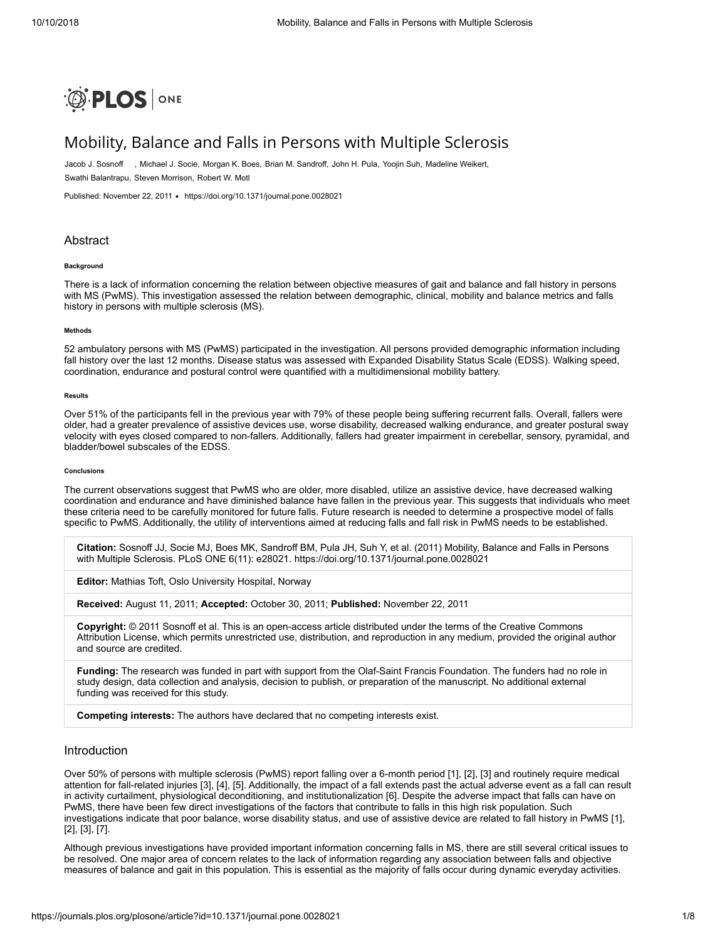

# Mobility, Balance and Falls in Persons with Multiple Sclerosis

Jacob J. Sosnoff , Michael J. Socie, Morgan K. Boes, Brian M. Sandroff, John H. Pula, Yoojin Suh, Madeline Weikert, Swathi Balantrapu, Steven Morrison, Robert W. Motl

Published: November 22, 2011 · <https://doi.org/10.1371/journal.pone.0028021>

# Abstract

## **Background**

There is a lack of information concerning the relation between objective measures of gait and balance and fall history in persons with MS (PwMS). This investigation assessed the relation between demographic, clinical, mobility and balance metrics and falls history in persons with multiple sclerosis (MS).

#### **Methods**

52 ambulatory persons with MS (PwMS) participated in the investigation. All persons provided demographic information including fall history over the last 12 months. Disease status was assessed with Expanded Disability Status Scale (EDSS). Walking speed, coordination, endurance and postural control were quantified with a multidimensional mobility battery.

### **Results**

Over 51% of the participants fell in the previous year with 79% of these people being suffering recurrent falls. Overall, fallers were older, had a greater prevalence of assistive devices use, worse disability, decreased walking endurance, and greater postural sway velocity with eyes closed compared to non-fallers. Additionally, fallers had greater impairment in cerebellar, sensory, pyramidal, and bladder/bowel subscales of the EDSS.

## **Conclusions**

The current observations suggest that PwMS who are older, more disabled, utilize an assistive device, have decreased walking coordination and endurance and have diminished balance have fallen in the previous year. This suggests that individuals who meet these criteria need to be carefully monitored for future falls. Future research is needed to determine a prospective model of falls specific to PwMS. Additionally, the utility of interventions aimed at reducing falls and fall risk in PwMS needs to be established.

**Citation:** Sosnoff JJ, Socie MJ, Boes MK, Sandroff BM, Pula JH, Suh Y, et al. (2011) Mobility, Balance and Falls in Persons with Multiple Sclerosis. PLoS ONE 6(11): e28021. https://doi.org/10.1371/journal.pone.0028021

**Editor:** Mathias Toft, Oslo University Hospital, Norway

**Received:** August 11, 2011; **Accepted:** October 30, 2011; **Published:** November 22, 2011

**Copyright:** © 2011 Sosnoff et al. This is an open-access article distributed under the terms of the Creative Commons Attribution License, which permits unrestricted use, distribution, and reproduction in any medium, provided the original author and source are credited.

**Funding:** The research was funded in part with support from the Olaf-Saint Francis Foundation. The funders had no role in study design, data collection and analysis, decision to publish, or preparation of the manuscript. No additional external funding was received for this study.

**Competing interests:** The authors have declared that no competing interests exist.

# Introduction

Over 50% of persons with multiple sclerosis (PwMS) report falling over a 6-month period [\[1\]](#page-5-0), [\[2\]](#page-5-1), [\[3\]](#page-5-2) and routinely require medical attention for fall-related injuries [\[3\],](#page-5-2) [\[4\],](#page-5-3) [\[5\]](#page-5-4). Additionally, the impact of a fall extends past the actual adverse event as a fall can result in activity curtailment, physiological deconditioning, and institutionalization [\[6\]](#page-5-5). Despite the adverse impact that falls can have on PwMS, there have been few direct investigations of the factors that contribute to falls in this high risk population. Such investigations indicate that poor balance, worse disability status, and use of assistive device are related to fall history in PwMS [\[1\]](#page-5-0), [\[2\]](#page-5-1), [\[3\],](#page-5-2) [\[7\].](#page-5-6)

Although previous investigations have provided important information concerning falls in MS, there are still several critical issues to be resolved. One major area of concern relates to the lack of information regarding any association between falls and objective measures of balance and gait in this population. This is essential as the majority of falls occur during dynamic everyday activities.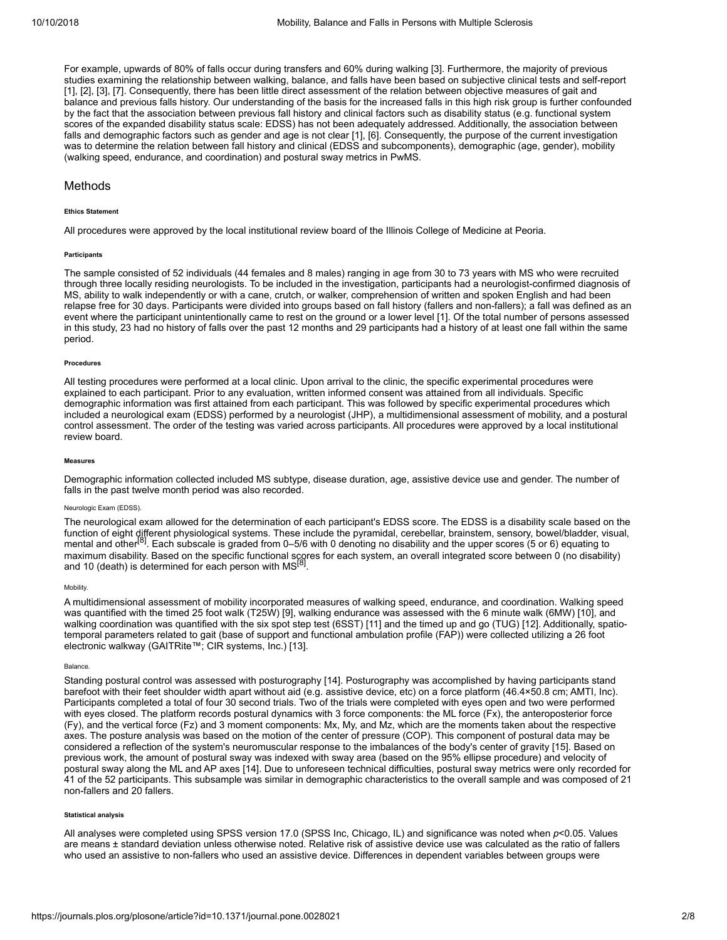For example, upwards of 80% of falls occur during transfers and 60% during walking [\[3\]](#page-5-2). Furthermore, the majority of previous studies examining the relationship between walking, balance, and falls have been based on subjective clinical tests and self-report [\[1\]](#page-5-0), [\[2\],](#page-5-1) [\[3\],](#page-5-2) [\[7\]](#page-5-6). Consequently, there has been little direct assessment of the relation between objective measures of gait and balance and previous falls history. Our understanding of the basis for the increased falls in this high risk group is further confounded by the fact that the association between previous fall history and clinical factors such as disability status (e.g. functional system scores of the expanded disability status scale: EDSS) has not been adequately addressed. Additionally, the association between falls and demographic factors such as gender and age is not clear [\[1\]](#page-5-0), [\[6\]](#page-5-5). Consequently, the purpose of the current investigation was to determine the relation between fall history and clinical (EDSS and subcomponents), demographic (age, gender), mobility (walking speed, endurance, and coordination) and postural sway metrics in PwMS.

# Methods

#### **Ethics Statement**

All procedures were approved by the local institutional review board of the Illinois College of Medicine at Peoria.

#### **Participants**

The sample consisted of 52 individuals (44 females and 8 males) ranging in age from 30 to 73 years with MS who were recruited through three locally residing neurologists. To be included in the investigation, participants had a neurologist-confirmed diagnosis of MS, ability to walk independently or with a cane, crutch, or walker, comprehension of written and spoken English and had been relapse free for 30 days. Participants were divided into groups based on fall history (fallers and non-fallers); a fall was defined as an event where the participant unintentionally came to rest on the ground or a lower level [\[1\]](#page-5-0). Of the total number of persons assessed in this study, 23 had no history of falls over the past 12 months and 29 participants had a history of at least one fall within the same period.

## **Procedures**

All testing procedures were performed at a local clinic. Upon arrival to the clinic, the specific experimental procedures were explained to each participant. Prior to any evaluation, written informed consent was attained from all individuals. Specific demographic information was first attained from each participant. This was followed by specific experimental procedures which included a neurological exam (EDSS) performed by a neurologist (JHP), a multidimensional assessment of mobility, and a postural control assessment. The order of the testing was varied across participants. All procedures were approved by a local institutional review board.

#### **Measures**

Demographic information collected included MS subtype, disease duration, age, assistive device use and gender. The number of falls in the past twelve month period was also recorded.

## Neurologic Exam (EDSS).

The neurological exam allowed for the determination of each participant's EDSS score. The EDSS is a disability scale based on the function of eight different physiological systems. These include the pyramidal, cerebellar, brainstem, sensory, bowel/bladder, visual, mental and other<sup>[\[8\]](#page-5-12)</sup>. Each subscale is graded from 0–5/6 with 0 denoting no disability and the upper scores (5 or 6) equating to maximum disability. Based on the specific functional scores for each system, an overall integrated score between 0 (no disability) and 10 (death) is determined for each person with  $MS^{[8]}$  $MS^{[8]}$  $MS^{[8]}$ .

### **Mobility**

A multidimensional assessment of mobility incorporated measures of walking speed, endurance, and coordination. Walking speed was quantified with the timed 25 foot walk (T25W) [\[9\],](#page-5-7) walking endurance was assessed with the 6 minute walk (6MW) [\[10\]](#page-5-8), and walking coordination was quantified with the six spot step test (6SST) [\[11\]](#page-5-9) and the timed up and go (TUG) [\[12\].](#page-5-10) Additionally, spatiotemporal parameters related to gait (base of support and functional ambulation profile (FAP)) were collected utilizing a 26 foot electronic walkway (GAITRite™; CIR systems, Inc.) [\[13\].](#page-5-11)

### Balance.

Standing postural control was assessed with posturography [\[14\].](#page-6-0) Posturography was accomplished by having participants stand barefoot with their feet shoulder width apart without aid (e.g. assistive device, etc) on a force platform (46.4×50.8 cm; AMTI, Inc). Participants completed a total of four 30 second trials. Two of the trials were completed with eyes open and two were performed with eyes closed. The platform records postural dynamics with 3 force components: the ML force (Fx), the anteroposterior force (Fy), and the vertical force (Fz) and 3 moment components: Mx, My, and Mz, which are the moments taken about the respective axes. The posture analysis was based on the motion of the center of pressure (COP). This component of postural data may be considered a reflection of the system's neuromuscular response to the imbalances of the body's center of gravity [\[15\].](#page-6-1) Based on previous work, the amount of postural sway was indexed with sway area (based on the 95% ellipse procedure) and velocity of postural sway along the ML and AP axes [\[14\]](#page-6-0). Due to unforeseen technical difficulties, postural sway metrics were only recorded for 41 of the 52 participants. This subsample was similar in demographic characteristics to the overall sample and was composed of 21 non-fallers and 20 fallers.

## **Statistical analysis**

All analyses were completed using SPSS version 17.0 (SPSS Inc, Chicago, IL) and significance was noted when *p*<0.05. Values are means ± standard deviation unless otherwise noted. Relative risk of assistive device use was calculated as the ratio of fallers who used an assistive to non-fallers who used an assistive device. Differences in dependent variables between groups were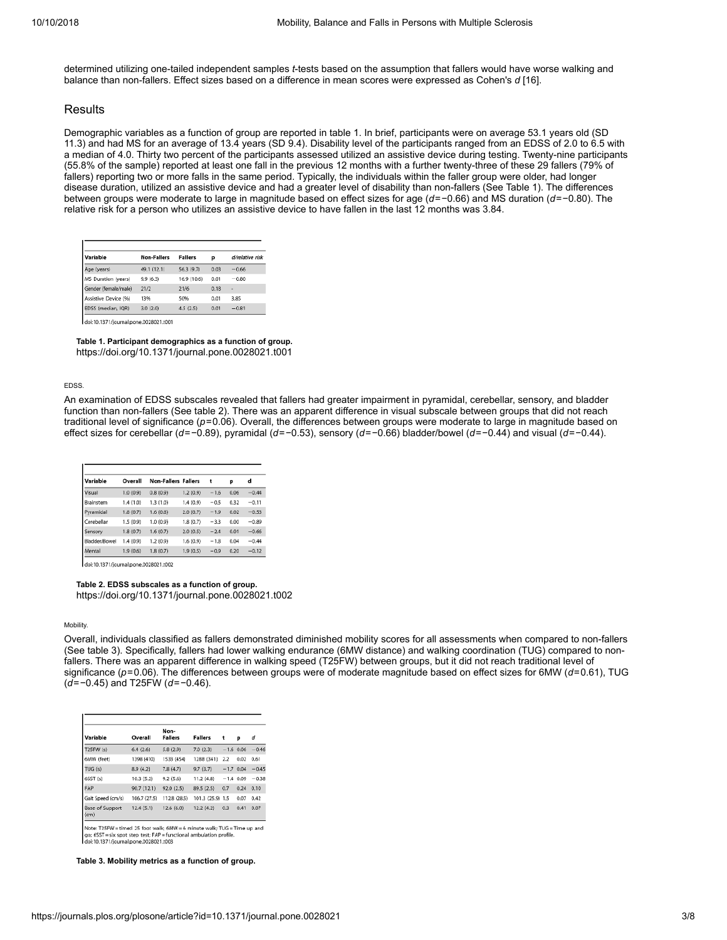determined utilizing one-tailed independent samples *t*-tests based on the assumption that fallers would have worse walking and balance than non-fallers. Effect sizes based on a difference in mean scores were expressed as Cohen's *d* [\[16\]](#page-6-2).

# **Results**

Demographic variables as a function of group are reported in [table 1](#page-2-0). In brief, participants were on average 53.1 years old (SD 11.3) and had MS for an average of 13.4 years (SD 9.4). Disability level of the participants ranged from an EDSS of 2.0 to 6.5 with a median of 4.0. Thirty two percent of the participants assessed utilized an assistive device during testing. Twenty-nine participants (55.8% of the sample) reported at least one fall in the previous 12 months with a further twenty-three of these 29 fallers (79% of fallers) reporting two or more falls in the same period. Typically, the individuals within the faller group were older, had longer disease duration, utilized an assistive device and had a greater level of disability than non-fallers (See [Table 1\)](#page-2-0). The differences between groups were moderate to large in magnitude based on effect sizes for age (*d* = −0.66) and MS duration (*d* = −0.80). The relative risk for a person who utilizes an assistive device to have fallen in the last 12 months was 3.84.

<span id="page-2-0"></span>

| Variable             | <b>Non-Fallers</b> | <b>Fallers</b> | p    | d/relative risk |  |  |
|----------------------|--------------------|----------------|------|-----------------|--|--|
| Age (years)          | 49.1 (12.1)        | 56.3 (9.7)     | 0.03 | $-0.66$         |  |  |
| MS Duration (years)  | 9.9(6.3)           | 16.9 (10.6)    | 0.01 | $-0.80$         |  |  |
| Gender (female/male) | 21/2               | 21/6           | 0.18 | ٠               |  |  |
| Assistive Device (%) | 13%                | 50%            | 0.01 | 3.85            |  |  |
| EDSS (median, IQR)   | 3.0(2.0)           | 4.5(2.5)       | 0.01 | $-0.81$         |  |  |

doi:10.1371/journal.pone.0028021.t001

**Table 1. Participant demographics as a function of group.** <https://doi.org/10.1371/journal.pone.0028021.t001>

## EDSS.

An examination of EDSS subscales revealed that fallers had greater impairment in pyramidal, cerebellar, sensory, and bladder function than non-fallers (See [table 2](#page-2-1)). There was an apparent difference in visual subscale between groups that did not reach traditional level of significance (*p* = 0.06). Overall, the differences between groups were moderate to large in magnitude based on effect sizes for cerebellar (*d* = −0.89), pyramidal (*d* = −0.53), sensory (*d* = −0.66) bladder/bowel (*d* = −0.44) and visual (*d* = −0.44).

<span id="page-2-1"></span>

| Variable      | Overall  | <b>Non-Fallers Fallers</b> |          | t      | р    | d       |
|---------------|----------|----------------------------|----------|--------|------|---------|
| Visual        | 1.0(0.9) | 0.8(0.9)                   | 1.2(0.9) | $-1.6$ | 0.06 | $-0.44$ |
| Brainstem     | 1.4(1.0) | 1.3(1.0)                   | 1.4(0.9) | $-0.5$ | 0.32 | $-0.11$ |
| Pyramidal     | 1.8(0.7) | 1.6(0.8)                   | 2.0(0.7) | $-1.9$ | 0.02 | $-0.53$ |
| Cerebellar    | 1.5(0.9) | 1.0 (0.9)                  | 1.8(0.7) | $-3.3$ | 0.00 | $-0.89$ |
| Sensorv       | 1.8(0.7) | 1.6(0.7)                   | 2.0(0.5) | $-2.4$ | 0.01 | $-0.66$ |
| Bladder/Bowel | 1.4(0.9) | 1.2(0.9)                   | 1.6(0.9) | $-1.8$ | 0.04 | $-0.44$ |
| Mental        | 1.9(0.6) | 1.8(0.7)                   | 1.9(0.5) | $-0.9$ | 0.20 | $-0.12$ |

doi:10.1371/journal.pone.0028021.t002

**Table 2. EDSS subscales as a function of group.** <https://doi.org/10.1371/journal.pone.0028021.t002>

## Mobility.

Overall, individuals classified as fallers demonstrated diminished mobility scores for all assessments when compared to non-fallers (See [table 3](#page-2-2)). Specifically, fallers had lower walking endurance (6MW distance) and walking coordination (TUG) compared to nonfallers. There was an apparent difference in walking speed (T25FW) between groups, but it did not reach traditional level of significance ( $p$ =0.06). The differences between groups were of moderate magnitude based on effect sizes for 6MW ( $d$ =0.61), TUG (*d* = −0.45) and T25FW (*d* = −0.46).

<span id="page-2-2"></span>

| Variable                | Overall      | Non-<br><b>Fallers</b> | <b>Fallers</b>   | t   | Þ            | d       |
|-------------------------|--------------|------------------------|------------------|-----|--------------|---------|
| T25FW (s)               | 6.4(2.6)     | 5.8 (2.9)              | 7.0(2.3)         |     | $-1.6, 0.06$ | $-0.46$ |
| 6MW (feet)              | 1398 (410)   | 1533 (454)             | 1288 (341)       | 2.2 | 0.02         | 0.61    |
| TUG (s)                 | 8.9(4.2)     | 7.8(4.7)               | 9.7(3.7)         |     | $-1.7$ 0.04  | $-0.45$ |
| 6SST (s)                | 10.3(5.2)    | 9.2(5.6)               | 11.2(4.8)        |     | $-1.4$ 0.09  | $-0.38$ |
| FAP                     | 90.7 (12.1)  | 92.0 (2.5)             | 89.5 (2.5)       | 0.7 | 0.24         | 0.10    |
| Gait Speed (cm/s)       | 106.7 (27.5) | 112.8 (28.5)           | 101.3 (25.9) 1.5 |     | 0.07         | 0.42    |
| Base of Support<br>(cm) | 12.4(5.1)    | 12.6(6.0)              | 12.2(4.2)        | 0.3 | 0.41         | 0.07    |
|                         |              |                        |                  |     |              |         |

Note: T25FW = timed 25 foot walk; 6MW = 6 minute walk; TUG = Time up and<br>go; 6SST = six spot step test; FAP = functional ambulation profile.<br>doi:10.1371/journal.pone.0028021.t003

**Table 3. Mobility metrics as a function of group.**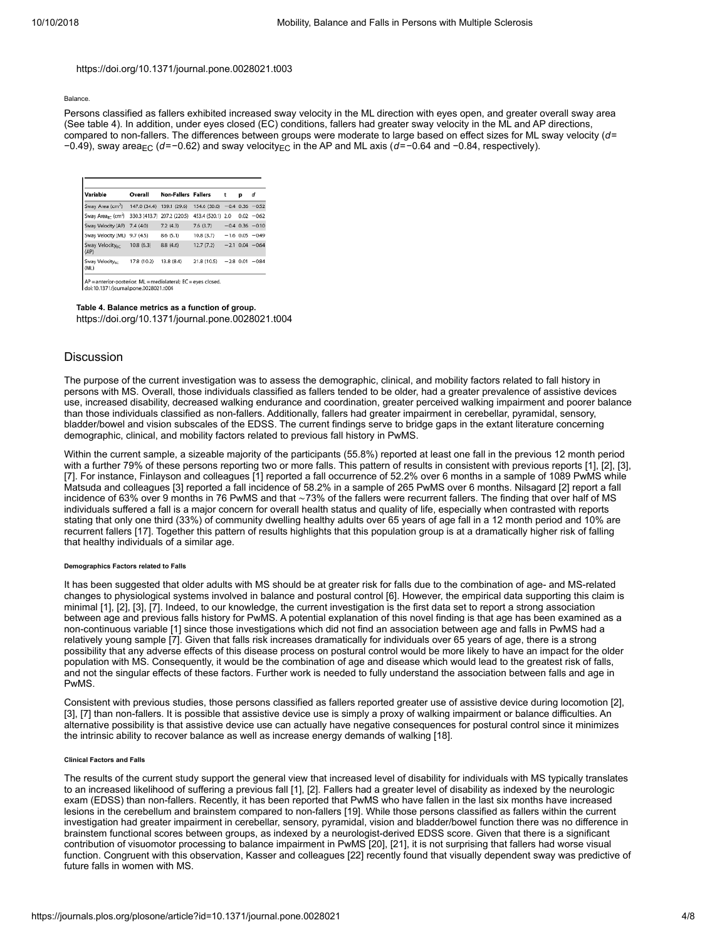## <https://doi.org/10.1371/journal.pone.0028021.t003>

## Balance.

Persons classified as fallers exhibited increased sway velocity in the ML direction with eyes open, and greater overall sway area (See [table 4](#page-3-0)). In addition, under eyes closed (EC) conditions, fallers had greater sway velocity in the ML and AP directions, compared to non-fallers. The differences between groups were moderate to large based on effect sizes for ML sway velocity (*d* =  −0.49), sway area<sub>EC</sub> (*d*=−0.62) and sway velocity<sub>EC</sub> in the AP and ML axis (*d*=−0.64 and −0.84, respectively).

<span id="page-3-0"></span>

| Variable                                                               | Overall     | <b>Non-Fallers Fallers</b> |                               | t | p | d                   |
|------------------------------------------------------------------------|-------------|----------------------------|-------------------------------|---|---|---------------------|
| Sway Area (cm <sup>2</sup> ) 147.0 (34.4)                              |             | 139.1 (29.6)               | 154.6 (30.0)                  |   |   | $-0.4$ 0.36 $-0.52$ |
| Sway Area <sub>nc</sub> (cm <sup>2</sup> ) 330.3 (413.7) 207.2 (220.5) |             |                            | 453.4 (520.1) 2.0 0.02 - 0.62 |   |   |                     |
| Sway Velocity (AP)                                                     | 7.4(4.0)    | 7.2(4.3)                   | 7.6(3.7)                      |   |   | $-0.4$ 0.36 $-0.10$ |
| Sway Velocity (ML)                                                     | 9.7(4.5)    | 8.6 (5.1)                  | 10.8(3.7)                     |   |   | $-1.6$ 0.05 $-0.49$ |
| Sway Velocity <sub>FC</sub><br>(AP)                                    | 10.8(6.3)   | 8.8 (4.6)                  | 12.7(7.2)                     |   |   | $-2.1$ 0.04 $-0.64$ |
| Sway Velocity <sub>sc</sub><br>(ML)                                    | 17.8 (10.2) | 13.8(8.4)                  | 21.8 (10.5)                   |   |   | $-2.8$ 0.01 $-0.84$ |

 $AP = anterior-posterior; ML = medicalateral; EC = eyes closed  
do:10.1371/journal.pone.0028021.t004$ 

## **Table 4. Balance metrics as a function of group.**

<https://doi.org/10.1371/journal.pone.0028021.t004>

# **Discussion**

The purpose of the current investigation was to assess the demographic, clinical, and mobility factors related to fall history in persons with MS. Overall, those individuals classified as fallers tended to be older, had a greater prevalence of assistive devices use, increased disability, decreased walking endurance and coordination, greater perceived walking impairment and poorer balance than those individuals classified as non-fallers. Additionally, fallers had greater impairment in cerebellar, pyramidal, sensory, bladder/bowel and vision subscales of the EDSS. The current findings serve to bridge gaps in the extant literature concerning demographic, clinical, and mobility factors related to previous fall history in PwMS.

Within the current sample, a sizeable majority of the participants (55.8%) reported at least one fall in the previous 12 month period with a further 79% of these persons reporting two or more falls. This pattern of results in consistent with previous reports [\[1\]](#page-5-0), [\[2\],](#page-5-1) [\[3\],](#page-5-2) [\[7\]](#page-5-6). For instance, Finlayson and colleagues [\[1\]](#page-5-0) reported a fall occurrence of 52.2% over 6 months in a sample of 1089 PwMS while Matsuda and colleagues [\[3\]](#page-5-2) reported a fall incidence of 58.2% in a sample of 265 PwMS over 6 months. Nilsagard [\[2\]](#page-5-1) report a fall incidence of 63% over 9 months in 76 PwMS and that ∼73% of the fallers were recurrent fallers. The finding that over half of MS individuals suffered a fall is a major concern for overall health status and quality of life, especially when contrasted with reports stating that only one third (33%) of community dwelling healthy adults over 65 years of age fall in a 12 month period and 10% are recurrent fallers [\[17\]](#page-6-3). Together this pattern of results highlights that this population group is at a dramatically higher risk of falling that healthy individuals of a similar age.

## **Demographics Factors related to Falls**

It has been suggested that older adults with MS should be at greater risk for falls due to the combination of age- and MS-related changes to physiological systems involved in balance and postural control [\[6\]](#page-5-5). However, the empirical data supporting this claim is minimal [\[1\],](#page-5-0) [\[2\]](#page-5-1), [\[3\]](#page-5-2), [\[7\].](#page-5-6) Indeed, to our knowledge, the current investigation is the first data set to report a strong association between age and previous falls history for PwMS. A potential explanation of this novel finding is that age has been examined as a non-continuous variable [\[1\]](#page-5-0) since those investigations which did not find an association between age and falls in PwMS had a relatively young sample [\[7\]](#page-5-6). Given that falls risk increases dramatically for individuals over 65 years of age, there is a strong possibility that any adverse effects of this disease process on postural control would be more likely to have an impact for the older population with MS. Consequently, it would be the combination of age and disease which would lead to the greatest risk of falls, and not the singular effects of these factors. Further work is needed to fully understand the association between falls and age in PwMS.

Consistent with previous studies, those persons classified as fallers reported greater use of assistive device during locomotion [\[2\],](#page-5-1) [\[3\]](#page-5-2), [\[7\]](#page-5-6) than non-fallers. It is possible that assistive device use is simply a proxy of walking impairment or balance difficulties. An alternative possibility is that assistive device use can actually have negative consequences for postural control since it minimizes the intrinsic ability to recover balance as well as increase energy demands of walking [\[18\]](#page-6-4).

## **Clinical Factors and Falls**

The results of the current study support the general view that increased level of disability for individuals with MS typically translates to an increased likelihood of suffering a previous fall [\[1\]](#page-5-0), [\[2\].](#page-5-1) Fallers had a greater level of disability as indexed by the neurologic exam (EDSS) than non-fallers. Recently, it has been reported that PwMS who have fallen in the last six months have increased lesions in the cerebellum and brainstem compared to non-fallers [\[19\].](#page-6-5) While those persons classified as fallers within the current investigation had greater impairment in cerebellar, sensory, pyramidal, vision and bladder/bowel function there was no difference in brainstem functional scores between groups, as indexed by a neurologist-derived EDSS score. Given that there is a significant contribution of visuomotor processing to balance impairment in PwMS [\[20\],](#page-6-6) [\[21\],](#page-6-7) it is not surprising that fallers had worse visual function. Congruent with this observation, Kasser and colleagues [\[22\]](#page-6-8) recently found that visually dependent sway was predictive of future falls in women with MS.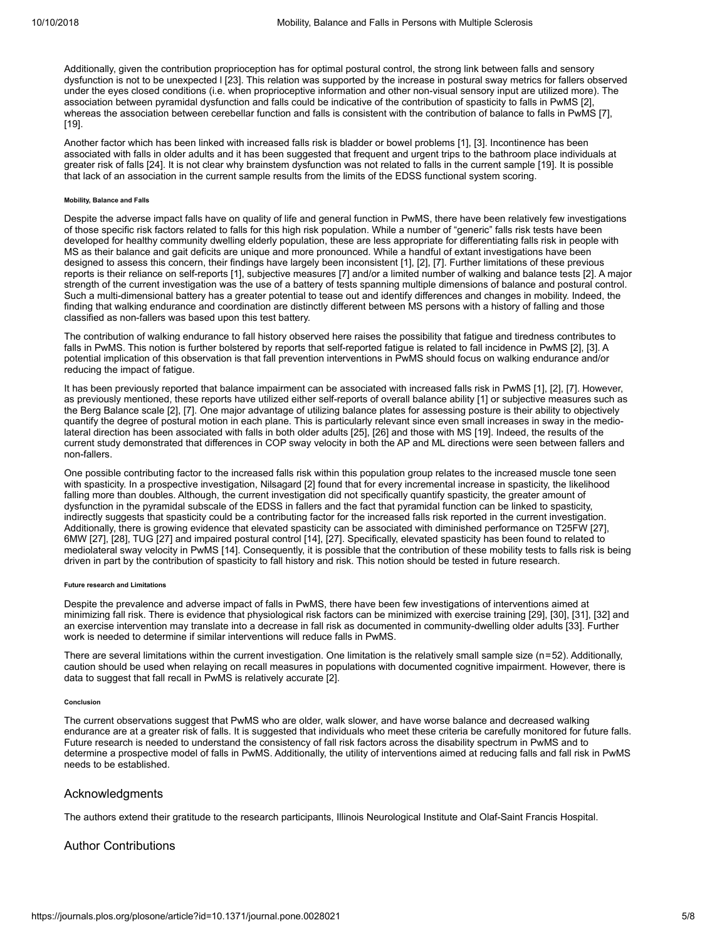Additionally, given the contribution proprioception has for optimal postural control, the strong link between falls and sensory dysfunction is not to be unexpected l [\[23\]](#page-6-9). This relation was supported by the increase in postural sway metrics for fallers observed under the eyes closed conditions (i.e. when proprioceptive information and other non-visual sensory input are utilized more). The association between pyramidal dysfunction and falls could be indicative of the contribution of spasticity to falls in PwMS [\[2\]](#page-5-1), whereas the association between cerebellar function and falls is consistent with the contribution of balance to falls in PwMS [\[7\],](#page-5-6) [\[19\].](#page-6-5)

Another factor which has been linked with increased falls risk is bladder or bowel problems [\[1\],](#page-5-0) [\[3\]](#page-5-2). Incontinence has been associated with falls in older adults and it has been suggested that frequent and urgent trips to the bathroom place individuals at greater risk of falls [\[24\]](#page-6-10). It is not clear why brainstem dysfunction was not related to falls in the current sample [\[19\].](#page-6-5) It is possible that lack of an association in the current sample results from the limits of the EDSS functional system scoring.

## **Mobility, Balance and Falls**

Despite the adverse impact falls have on quality of life and general function in PwMS, there have been relatively few investigations of those specific risk factors related to falls for this high risk population. While a number of "generic" falls risk tests have been developed for healthy community dwelling elderly population, these are less appropriate for differentiating falls risk in people with MS as their balance and gait deficits are unique and more pronounced. While a handful of extant investigations have been designed to assess this concern, their findings have largely been inconsistent [\[1\],](#page-5-0) [\[2\],](#page-5-1) [\[7\]](#page-5-6). Further limitations of these previous reports is their reliance on self-reports [\[1\],](#page-5-0) subjective measures [\[7\]](#page-5-6) and/or a limited number of walking and balance tests [\[2\]](#page-5-1). A major strength of the current investigation was the use of a battery of tests spanning multiple dimensions of balance and postural control. Such a multi-dimensional battery has a greater potential to tease out and identify differences and changes in mobility. Indeed, the finding that walking endurance and coordination are distinctly different between MS persons with a history of falling and those classified as non-fallers was based upon this test battery.

The contribution of walking endurance to fall history observed here raises the possibility that fatigue and tiredness contributes to falls in PwMS. This notion is further bolstered by reports that self-reported fatigue is related to fall incidence in PwMS [\[2\],](#page-5-1) [\[3\]](#page-5-2). A potential implication of this observation is that fall prevention interventions in PwMS should focus on walking endurance and/or reducing the impact of fatigue.

It has been previously reported that balance impairment can be associated with increased falls risk in PwMS [\[1\],](#page-5-0) [\[2\],](#page-5-1) [\[7\]](#page-5-6). However, as previously mentioned, these reports have utilized either self-reports of overall balance ability [\[1\]](#page-5-0) or subjective measures such as the Berg Balance scale [\[2\]](#page-5-1), [\[7\].](#page-5-6) One major advantage of utilizing balance plates for assessing posture is their ability to objectively quantify the degree of postural motion in each plane. This is particularly relevant since even small increases in sway in the mediolateral direction has been associated with falls in both older adults [\[25\]](#page-6-11), [\[26\]](#page-6-12) and those with MS [\[19\]](#page-6-5). Indeed, the results of the current study demonstrated that differences in COP sway velocity in both the AP and ML directions were seen between fallers and non-fallers.

One possible contributing factor to the increased falls risk within this population group relates to the increased muscle tone seen with spasticity. In a prospective investigation, Nilsagard [\[2\]](#page-5-1) found that for every incremental increase in spasticity, the likelihood falling more than doubles. Although, the current investigation did not specifically quantify spasticity, the greater amount of dysfunction in the pyramidal subscale of the EDSS in fallers and the fact that pyramidal function can be linked to spasticity, indirectly suggests that spasticity could be a contributing factor for the increased falls risk reported in the current investigation. Additionally, there is growing evidence that elevated spasticity can be associated with diminished performance on T25FW [\[27\]](#page-6-13), 6MW [\[27\]](#page-6-13), [\[28\]](#page-6-14), TUG [\[27\]](#page-6-13) and impaired postural control [\[14\],](#page-6-0) [\[27\]](#page-6-13). Specifically, elevated spasticity has been found to related to mediolateral sway velocity in PwMS [\[14\].](#page-6-0) Consequently, it is possible that the contribution of these mobility tests to falls risk is being driven in part by the contribution of spasticity to fall history and risk. This notion should be tested in future research.

### **Future research and Limitations**

Despite the prevalence and adverse impact of falls in PwMS, there have been few investigations of interventions aimed at minimizing fall risk. There is evidence that physiological risk factors can be minimized with exercise training [\[29\]](#page-7-0), [\[30\]](#page-7-1), [\[31\],](#page-7-2) [\[32\]](#page-7-3) and an exercise intervention may translate into a decrease in fall risk as documented in community-dwelling older adults [\[33\]](#page-7-4). Further work is needed to determine if similar interventions will reduce falls in PwMS.

There are several limitations within the current investigation. One limitation is the relatively small sample size (n=52). Additionally, caution should be used when relaying on recall measures in populations with documented cognitive impairment. However, there is data to suggest that fall recall in PwMS is relatively accurate [\[2\]](#page-5-1).

## **Conclusion**

The current observations suggest that PwMS who are older, walk slower, and have worse balance and decreased walking endurance are at a greater risk of falls. It is suggested that individuals who meet these criteria be carefully monitored for future falls. Future research is needed to understand the consistency of fall risk factors across the disability spectrum in PwMS and to determine a prospective model of falls in PwMS. Additionally, the utility of interventions aimed at reducing falls and fall risk in PwMS needs to be established.

# Acknowledgments

The authors extend their gratitude to the research participants, Illinois Neurological Institute and Olaf-Saint Francis Hospital.

# Author Contributions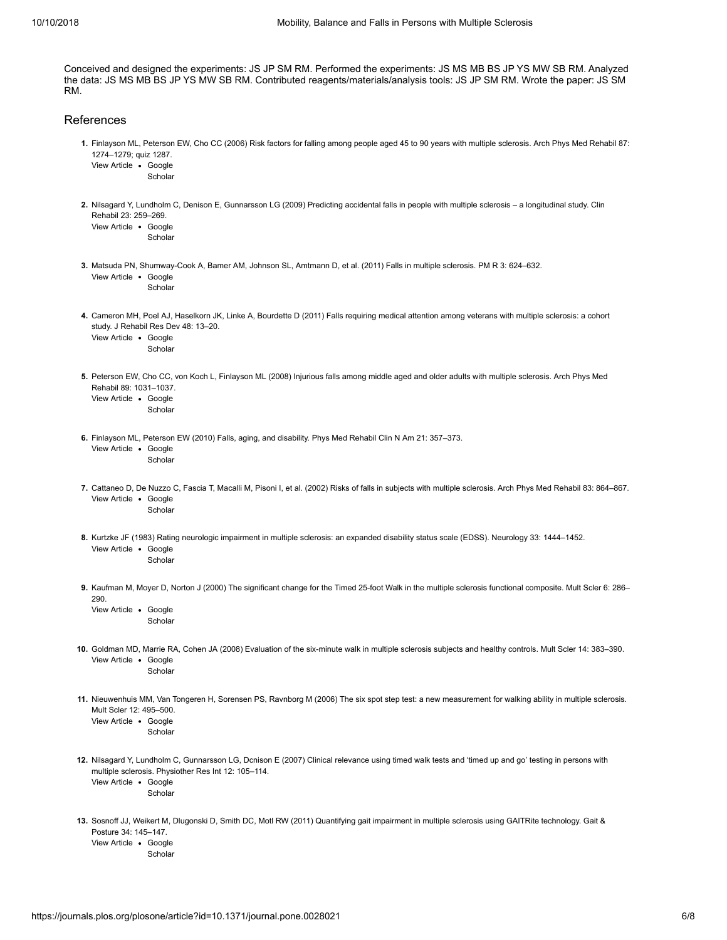Conceived and designed the experiments: JS JP SM RM. Performed the experiments: JS MS MB BS JP YS MW SB RM. Analyzed the data: JS MS MB BS JP YS MW SB RM. Contributed reagents/materials/analysis tools: JS JP SM RM. Wrote the paper: JS SM RM.

# References

- <span id="page-5-0"></span>**1.** Finlayson ML, Peterson EW, Cho CC (2006) Risk factors for falling among people aged 45 to 90 years with multiple sclerosis. Arch Phys Med Rehabil 87: 1274–1279; quiz 1287.
	- View Article · Google **[Scholar](http://scholar.google.com/scholar?q=Risk+factors+for+falling+among+people+aged+45+to+90+years+with+multiple+sclerosis.+Finlayson+2006)**
- <span id="page-5-1"></span>**2.** Nilsagard Y, Lundholm C, Denison E, Gunnarsson LG (2009) Predicting accidental falls in people with multiple sclerosis – a longitudinal study. Clin View Article · Google Rehabil 23: 259–269.

[Scholar](http://scholar.google.com/scholar?q=Predicting+accidental+falls+in+people+with+multiple+sclerosis+%E2%80%93+a+longitudinal+study.+Nilsagard+2009)

<span id="page-5-2"></span>**3.** Matsuda PN, Shumway-Cook A, Bamer AM, Johnson SL, Amtmann D, et al. (2011) Falls in multiple sclerosis. PM R 3: 624–632. View Article · Google [Scholar](http://scholar.google.com/scholar?q=Falls+in+multiple+sclerosis.+Matsuda+2011)

**4.** Cameron MH, Poel AJ, Haselkorn JK, Linke A, Bourdette D (2011) Falls requiring medical attention among veterans with multiple sclerosis: a cohort

- <span id="page-5-3"></span>View Article · Google [Scholar](http://scholar.google.com/scholar?q=Falls+requiring+medical+attention+among+veterans+with+multiple+sclerosis%3A+a+cohort+study.+Cameron+2011) study. J Rehabil Res Dev 48: 13–20.
- <span id="page-5-4"></span>**5.** Peterson EW, Cho CC, von Koch L, Finlayson ML (2008) Injurious falls among middle aged and older adults with multiple sclerosis. Arch Phys Med View Article · Google Rehabil 89: 1031–1037.
	- [Scholar](http://scholar.google.com/scholar?q=Injurious+falls+among+middle+aged+and+older+adults+with+multiple+sclerosis.+Peterson+2008)
- <span id="page-5-5"></span>**6.** Finlayson ML, Peterson EW (2010) Falls, aging, and disability. Phys Med Rehabil Clin N Am 21: 357–373. View Article · Google **[Scholar](http://scholar.google.com/scholar?q=Falls%2C+aging%2C+and+disability.+Finlayson+2010)**
- <span id="page-5-6"></span>**7.** Cattaneo D, De Nuzzo C, Fascia T, Macalli M, Pisoni I, et al. (2002) Risks of falls in subjects with multiple sclerosis. Arch Phys Med Rehabil 83: 864–867. View Article · Google **[Scholar](http://scholar.google.com/scholar?q=Risks+of+falls+in+subjects+with+multiple+sclerosis.+Cattaneo+2002)**
- <span id="page-5-12"></span>**8.** Kurtzke JF (1983) Rating neurologic impairment in multiple sclerosis: an expanded disability status scale (EDSS). Neurology 33: 1444–1452. View Article · Google

[Scholar](http://scholar.google.com/scholar?q=Rating+neurologic+impairment+in+multiple+sclerosis%3A+an+expanded+disability+status+scale+%28EDSS%29.+Kurtzke+1983)

<span id="page-5-7"></span>**9.** Kaufman M, Moyer D, Norton J (2000) The significant change for the Timed 25-foot Walk in the multiple sclerosis functional composite. Mult Scler 6: 286– 290.

View Article · Google [Scholar](http://scholar.google.com/scholar?q=The+significant+change+for+the+Timed+25-foot+Walk+in+the+multiple+sclerosis+functional+composite.+Kaufman+2000)

- <span id="page-5-8"></span>**10.** Goldman MD, Marrie RA, Cohen JA (2008) Evaluation of the six-minute walk in multiple sclerosis subjects and healthy controls. Mult Scler 14: 383–390. View Article · Google [Scholar](http://scholar.google.com/scholar?q=Evaluation+of+the+six-minute+walk+in+multiple+sclerosis+subjects+and+healthy+controls.+Goldman+2008)
- <span id="page-5-9"></span>**11.** Nieuwenhuis MM, Van Tongeren H, Sorensen PS, Ravnborg M (2006) The six spot step test: a new measurement for walking ability in multiple sclerosis. View Article · Google Mult Scler 12: 495–500.

**[Scholar](http://scholar.google.com/scholar?q=The+six+spot+step+test%3A+a+new+measurement+for+walking+ability+in+multiple+sclerosis.+Nieuwenhuis+2006)** 

<span id="page-5-10"></span>**12.** Nilsagard Y, Lundholm C, Gunnarsson LG, Dcnison E (2007) Clinical relevance using timed walk tests and 'timed up and go' testing in persons with multiple sclerosis. Physiother Res Int 12: 105–114.

View Article · Google **[Scholar](http://scholar.google.com/scholar?q=Clinical+relevance+using+timed+walk+tests+and+%E2%80%98timed+up+and+go%E2%80%99+testing+in+persons+with+multiple+sclerosis.+Nilsagard+2007)** 

- <span id="page-5-11"></span>**13.** Sosnoff JJ, Weikert M, Dlugonski D, Smith DC, Motl RW (2011) Quantifying gait impairment in multiple sclerosis using GAITRite technology. Gait & Posture 34: 145–147.
	- View Article · Google
		- **[Scholar](http://scholar.google.com/scholar?q=Quantifying+gait+impairment+in+multiple+sclerosis+using+GAITRite+technology.+Sosnoff+2011)**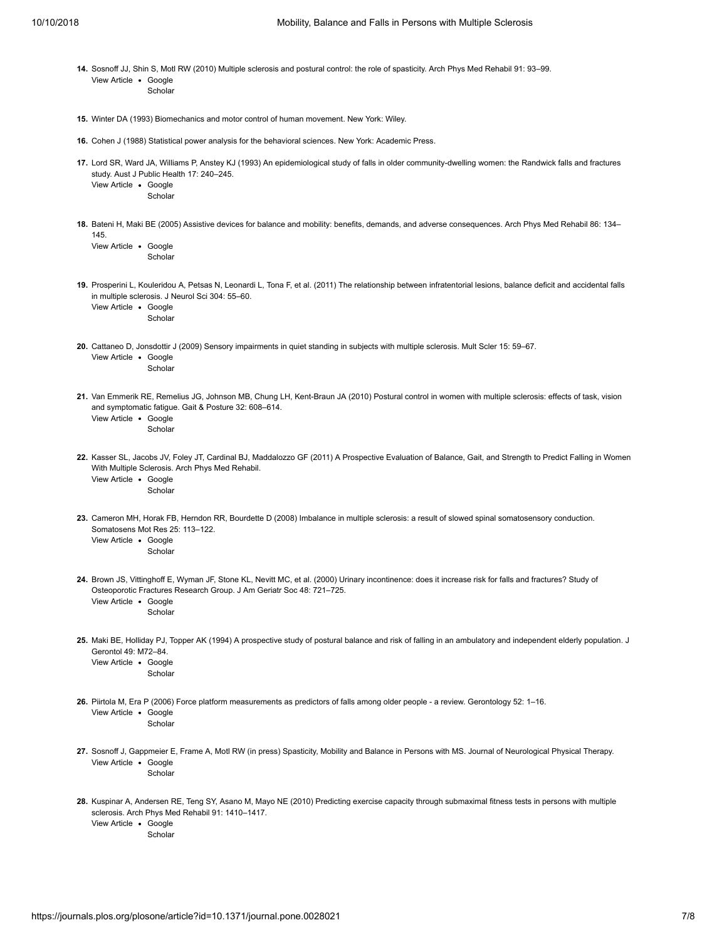- <span id="page-6-0"></span>**14.** Sosnoff JJ, Shin S, Motl RW (2010) Multiple sclerosis and postural control: the role of spasticity. Arch Phys Med Rehabil 91: 93–99. View Article · Google **[Scholar](http://scholar.google.com/scholar?q=Multiple+sclerosis+and+postural+control%3A+the+role+of+spasticity.+Sosnoff+2010)**
- <span id="page-6-1"></span>**15.** Winter DA (1993) Biomechanics and motor control of human movement. New York: Wiley.
- <span id="page-6-2"></span>**16.** Cohen J (1988) Statistical power analysis for the behavioral sciences. New York: Academic Press.
- <span id="page-6-3"></span>**17.** Lord SR, Ward JA, Williams P, Anstey KJ (1993) An epidemiological study of falls in older community-dwelling women: the Randwick falls and fractures study. Aust J Public Health 17: 240–245.
	- View Article · Google **[Scholar](http://scholar.google.com/scholar?q=An+epidemiological+study+of+falls+in+older+community-dwelling+women%3A+the+Randwick+falls+and+fractures+study.+Lord+1993)**
- <span id="page-6-4"></span>**18.** Bateni H, Maki BE (2005) Assistive devices for balance and mobility: benefits, demands, and adverse consequences. Arch Phys Med Rehabil 86: 134– 145.

View Article • Google [Scholar](http://scholar.google.com/scholar?q=Assistive+devices+for+balance+and+mobility%3A+benefits%2C+demands%2C+and+adverse+consequences.+Bateni+2005)

<span id="page-6-5"></span>**19.** Prosperini L, Kouleridou A, Petsas N, Leonardi L, Tona F, et al. (2011) The relationship between infratentorial lesions, balance deficit and accidental falls View Article · Google in multiple sclerosis. J Neurol Sci 304: 55–60.

**[Scholar](http://scholar.google.com/scholar?q=The+relationship+between+infratentorial+lesions%2C+balance+deficit+and+accidental+falls+in+multiple+sclerosis.+Prosperini+2011)** 

- <span id="page-6-6"></span>**20.** Cattaneo D, Jonsdottir J (2009) Sensory impairments in quiet standing in subjects with multiple sclerosis. Mult Scler 15: 59–67. View Article • Google
	- **[Scholar](http://scholar.google.com/scholar?q=Sensory+impairments+in+quiet+standing+in+subjects+with+multiple+sclerosis.+Cattaneo+2009)**
- <span id="page-6-7"></span>**21.** Van Emmerik RE, Remelius JG, Johnson MB, Chung LH, Kent-Braun JA (2010) Postural control in women with multiple sclerosis: effects of task, vision View Article · Google and symptomatic fatigue. Gait & Posture 32: 608–614.
	- [Scholar](http://scholar.google.com/scholar?q=Postural+control+in+women+with+multiple+sclerosis%3A+effects+of+task%2C+vision+and+symptomatic+fatigue.+Van+Emmerik+2010)
- <span id="page-6-8"></span>**22.** Kasser SL, Jacobs JV, Foley JT, Cardinal BJ, Maddalozzo GF (2011) A Prospective Evaluation of Balance, Gait, and Strength to Predict Falling in Women With Multiple Sclerosis. Arch Phys Med Rehabil.
	- View Article . Google [Scholar](http://scholar.google.com/scholar?q=A+Prospective+Evaluation+of+Balance%2C+Gait%2C+and+Strength+to+Predict+Falling+in+Women+With+Multiple+Sclerosis.+Kasser+2011)
- <span id="page-6-9"></span>**23.** Cameron MH, Horak FB, Herndon RR, Bourdette D (2008) Imbalance in multiple sclerosis: a result of slowed spinal somatosensory conduction. View Article · Google Somatosens Mot Res 25: 113–122.
	- **[Scholar](http://scholar.google.com/scholar?q=Imbalance+in+multiple+sclerosis%3A+a+result+of+slowed+spinal+somatosensory+conduction.+Cameron+2008)**
- <span id="page-6-10"></span>**24.** Brown JS, Vittinghoff E, Wyman JF, Stone KL, Nevitt MC, et al. (2000) Urinary incontinence: does it increase risk for falls and fractures? Study of View Article · Google Osteoporotic Fractures Research Group. J Am Geriatr Soc 48: 721–725.
	- **[Scholar](http://scholar.google.com/scholar?q=Urinary+incontinence%3A+does+it+increase+risk+for+falls+and+fractures%3F+Study+of+Osteoporotic+Fractures+Research+Group.+Brown+2000)**
- <span id="page-6-11"></span>**25.** Maki BE, Holliday PJ, Topper AK (1994) A prospective study of postural balance and risk of falling in an ambulatory and independent elderly population. J View Article · Google Gerontol 49: M72–84.
	- [Scholar](http://scholar.google.com/scholar?q=A+prospective+study+of+postural+balance+and+risk+of+falling+in+an+ambulatory+and+independent+elderly+population.+Maki+1994)
- <span id="page-6-12"></span>**26.** Piirtola M, Era P (2006) Force platform measurements as predictors of falls among older people - a review. Gerontology 52: 1–16. View Article · Google

[Scholar](http://scholar.google.com/scholar?q=Force+platform+measurements+as+predictors+of+falls+among+older+people+-+a+review.+Piirtola+2006)

- <span id="page-6-13"></span>**27.** Sosnoff J, Gappmeier E, Frame A, Motl RW (in press) Spasticity, Mobility and Balance in Persons with MS. Journal of Neurological Physical Therapy. View Article . Google **[Scholar](http://scholar.google.com/scholar?q=Spasticity%2C+Mobility+and+Balance+in+Persons+with+MS.+Sosnoff+in%20press)**
- <span id="page-6-14"></span>**28.** Kuspinar A, Andersen RE, Teng SY, Asano M, Mayo NE (2010) Predicting exercise capacity through submaximal fitness tests in persons with multiple sclerosis. Arch Phys Med Rehabil 91: 1410–1417.
	- View Article · Google
		- **[Scholar](http://scholar.google.com/scholar?q=Predicting+exercise+capacity+through+submaximal+fitness+tests+in+persons+with+multiple+sclerosis.+Kuspinar+2010)**